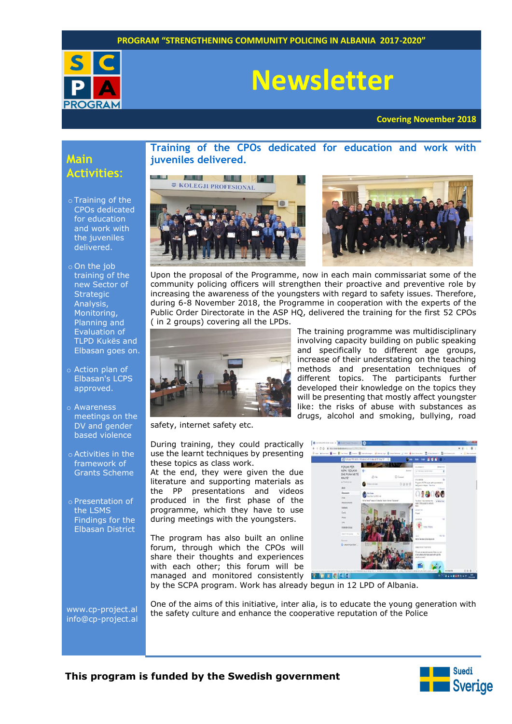

# **Newsletter**

**Covering November 2018**

# **Main Activities**:

- o Training of the CPOs dedicated for education and work with the juveniles delivered.
- o On the job training of the new Sector of **Strategic** Analysis, Monitoring, Planning and Evaluation of TLPD Kukës and Elbasan goes on.
- o Action plan of Elbasan's LCPS approved.
- o Awareness meetings on the DV and gender based violence
- o Activities in the framework of Grants Scheme
- o Presentation of the LSMS Findings for the Elbasan District

**Training of the CPOs dedicated for education and work with juveniles delivered.**





The training programme was multidisciplinary involving capacity building on public speaking and specifically to different age groups, increase of their understating on the teaching methods and presentation techniques of different topics. The participants further developed their knowledge on the topics they will be presenting that mostly affect youngster like: the risks of abuse with substances as drugs, alcohol and smoking, bullying, road

Upon the proposal of the Programme, now in each main commissariat some of the community policing officers will strengthen their proactive and preventive role by increasing the awareness of the youngsters with regard to safety issues. Therefore, during 6-8 November 2018, the Programme in cooperation with the experts of the Public Order Directorate in the ASP HQ, delivered the training for the first 52 CPOs ( in 2 groups) covering all the LPDs.



safety, internet safety etc.

During training, they could practically use the learnt techniques by presenting these topics as class work.

At the end, they were given the due literature and supporting materials as the PP presentations and videos produced in the first phase of the programme, which they have to use during meetings with the youngsters.

The program has also built an online forum, through which the CPOs will share their thoughts and experiences with each other; this forum will be managed and monitored consistently **Rank eldior** 



by the SCPA program. Work has already begun in 12 LPD of Albania.

[www.cp-project.al](http://www.cp-project.al/) [info@cp-project.al](mailto:info@cp-project.al) One of the aims of this initiative, inter alia, is to educate the young generation with the safety culture and enhance the cooperative reputation of the Police

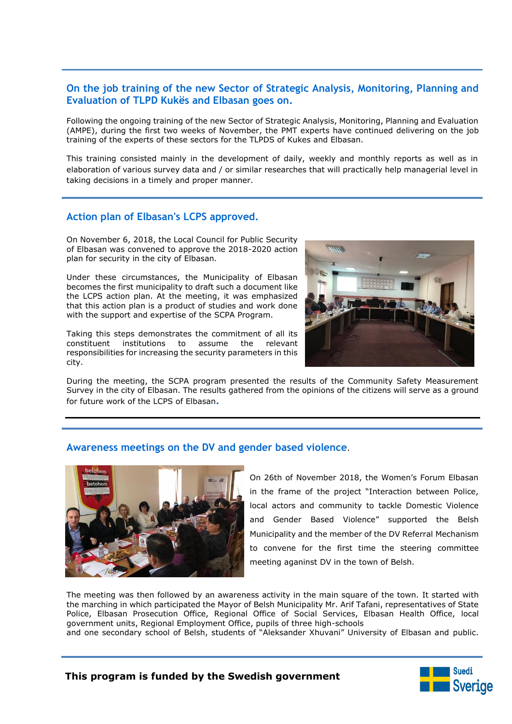### **On the job training of the new Sector of Strategic Analysis, Monitoring, Planning and Evaluation of TLPD Kukës and Elbasan goes on.**

Following the ongoing training of the new Sector of Strategic Analysis, Monitoring, Planning and Evaluation (AMPE), during the first two weeks of November, the PMT experts have continued delivering on the job training of the experts of these sectors for the TLPDS of Kukes and Elbasan.

This training consisted mainly in the development of daily, weekly and monthly reports as well as in elaboration of various survey data and / or similar researches that will practically help managerial level in taking decisions in a timely and proper manner.

#### **Action plan of Elbasan's LCPS approved.**

On November 6, 2018, the Local Council for Public Security of Elbasan was convened to approve the 2018-2020 action plan for security in the city of Elbasan.

Under these circumstances, the Municipality of Elbasan becomes the first municipality to draft such a document like the LCPS action plan. At the meeting, it was emphasized that this action plan is a product of studies and work done with the support and expertise of the SCPA Program.

Taking this steps demonstrates the commitment of all its constituent institutions to assume the relevant responsibilities for increasing the security parameters in this city.



During the meeting, the SCPA program presented the results of the Community Safety Measurement Survey in the city of Elbasan. The results gathered from the opinions of the citizens will serve as a ground for future work of the LCPS of Elbasan**.**

#### **Awareness meetings on the DV and gender based violence**.



On 26th of November 2018, the Women's Forum Elbasan in the frame of the project "Interaction between Police, local actors and community to tackle Domestic Violence and Gender Based Violence" supported the Belsh Municipality and the member of the DV Referral Mechanism to convene for the first time the steering committee meeting aganinst DV in the town of Belsh.

The meeting was then followed by an awareness activity in the main square of the town. It started with the marching in which participated the Mayor of Belsh Municipality Mr. Arif Tafani, representatives of State Police, Elbasan Prosecution Office, Regional Office of Social Services, Elbasan Health Office, local government units, Regional Employment Office, pupils of three high-schools

and one secondary school of Belsh, students of "Aleksander Xhuvani" University of Elbasan and public.

#### **This program is funded by the Swedish government**

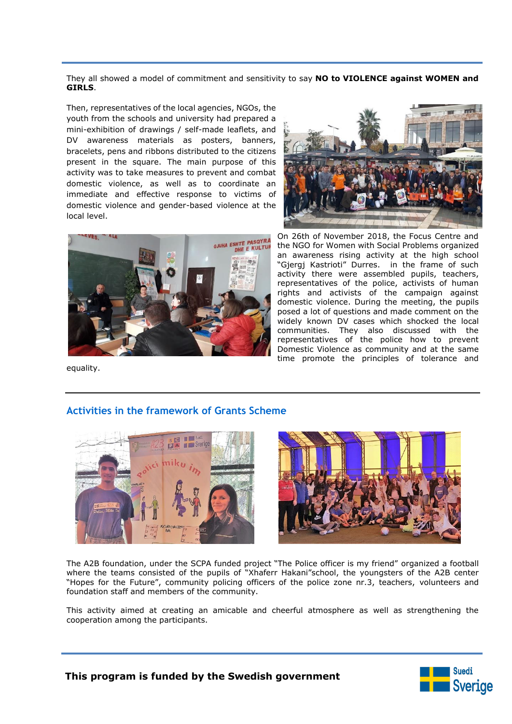They all showed a model of commitment and sensitivity to say **NO to VIOLENCE against WOMEN and GIRLS**.

Then, representatives of the local agencies, NGOs, the youth from the schools and university had prepared a mini-exhibition of drawings / self-made leaflets, and DV awareness materials as posters, banners, bracelets, pens and ribbons distributed to the citizens present in the square. The main purpose of this activity was to take measures to prevent and combat domestic violence, as well as to coordinate an immediate and effective response to victims of domestic violence and gender-based violence at the local level.





On 26th of November 2018, the Focus Centre and the NGO for Women with Social Problems organized an awareness rising activity at the high school "Gjergj Kastrioti" Durres. in the frame of such activity there were assembled pupils, teachers, representatives of the police, activists of human rights and activists of the campaign against domestic violence. During the meeting, the pupils posed a lot of questions and made comment on the widely known DV cases which shocked the local communities. They also discussed with the representatives of the police how to prevent Domestic Violence as community and at the same time promote the principles of tolerance and

equality.

## **Activities in the framework of Grants Scheme**





The A2B foundation, under the SCPA funded project "The Police officer is my friend" organized a football where the teams consisted of the pupils of "Xhaferr Hakani"school, the youngsters of the A2B center "Hopes for the Future", community policing officers of the police zone nr.3, teachers, volunteers and foundation staff and members of the community.

This activity aimed at creating an amicable and cheerful atmosphere as well as strengthening the cooperation among the participants.